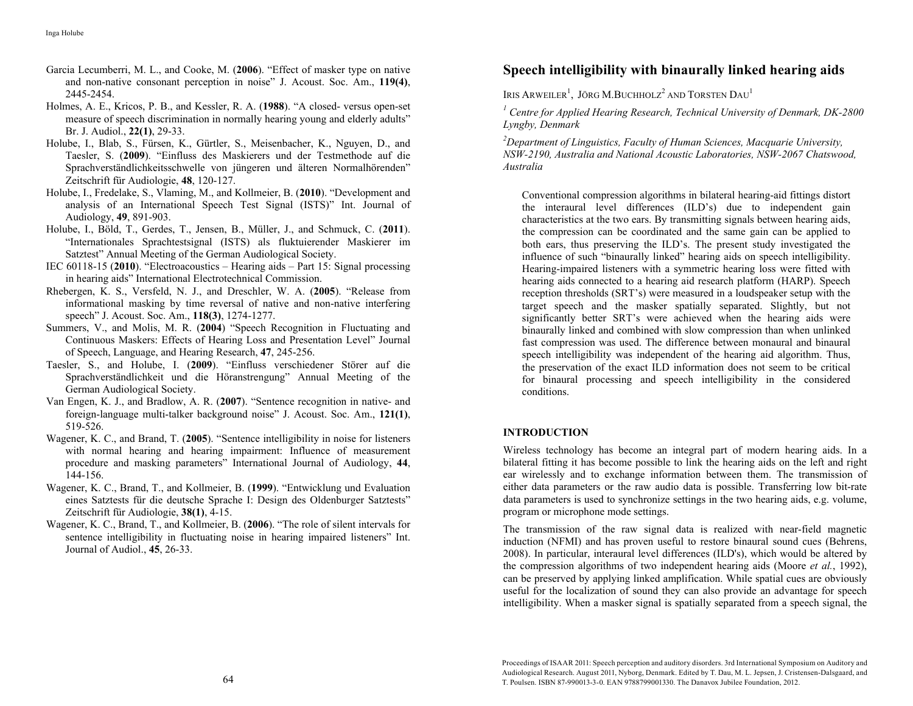- Garcia Lecumberri, M. L., and Cooke, M. (**2006**). "Effect of masker type on native and non-native consonant perception in noise" J. Acoust. Soc. Am., **119(4)**, 2445-2454.
- Holmes, A. E., Kricos, P. B., and Kessler, R. A. (**1988**). "A closed- versus open-set measure of speech discrimination in normally hearing young and elderly adults" Br. J. Audiol., **22(1)**, 29-33.
- Holube, I., Blab, S., Fürsen, K., Gürtler, S., Meisenbacher, K., Nguyen, D., and Taesler, S. (**2009**). "Einfluss des Maskierers und der Testmethode auf die Sprachverständlichkeitsschwelle von jüngeren und älteren Normalhörenden" Zeitschrift für Audiologie, **48**, 120-127.
- Holube, I., Fredelake, S., Vlaming, M., and Kollmeier, B. (**2010**). "Development and analysis of an International Speech Test Signal (ISTS)" Int. Journal of Audiology, **49**, 891-903.
- Holube, I., Böld, T., Gerdes, T., Jensen, B., Müller, J., and Schmuck, C. (**2011**). "Internationales Sprachtestsignal (ISTS) als fluktuierender Maskierer im Satztest" Annual Meeting of the German Audiological Society.
- IEC 60118-15 (**2010**). "Electroacoustics Hearing aids Part 15: Signal processing in hearing aids" International Electrotechnical Commission.
- Rhebergen, K. S., Versfeld, N. J., and Dreschler, W. A. (**2005**). "Release from informational masking by time reversal of native and non-native interfering speech" J. Acoust. Soc. Am., **118(3)**, 1274-1277.
- Summers, V., and Molis, M. R. (**2004**) "Speech Recognition in Fluctuating and Continuous Maskers: Effects of Hearing Loss and Presentation Level" Journal of Speech, Language, and Hearing Research, **47**, 245-256.
- Taesler, S., and Holube, I. (**2009**). "Einfluss verschiedener Störer auf die Sprachverständlichkeit und die Höranstrengung" Annual Meeting of the German Audiological Society.
- Van Engen, K. J., and Bradlow, A. R. (**2007**). "Sentence recognition in native- and foreign-language multi-talker background noise" J. Acoust. Soc. Am., **121(1)**, 519-526.
- Wagener, K. C., and Brand, T. (**2005**). "Sentence intelligibility in noise for listeners with normal hearing and hearing impairment: Influence of measurement procedure and masking parameters" International Journal of Audiology, **44**, 144-156.
- Wagener, K. C., Brand, T., and Kollmeier, B. (**1999**). "Entwicklung und Evaluation eines Satztests für die deutsche Sprache I: Design des Oldenburger Satztests" Zeitschrift für Audiologie, **38(1)**, 4-15.
- Wagener, K. C., Brand, T., and Kollmeier, B. (**2006**). "The role of silent intervals for sentence intelligibility in fluctuating noise in hearing impaired listeners" Int. Journal of Audiol., **45**, 26-33.

# **Speech intelligibility with binaurally linked hearing aids**

IRIS ARWEILER<sup>1</sup>, JÖRG M.BUCHHOLZ<sup>2</sup> AND TORSTEN  $\mathrm{DaU}^1$ 

<sup>1</sup> Centre for Applied Hearing Research, Technical University of Denmark, DK-2800 *Lyngby, Denmark* 

*2 Department of Linguistics, Faculty of Human Sciences, Macquarie University, NSW-2190, Australia and National Acoustic Laboratories, NSW-2067 Chatswood, Australia* 

Conventional compression algorithms in bilateral hearing-aid fittings distort the interaural level differences (ILD's) due to independent gain characteristics at the two ears. By transmitting signals between hearing aids, the compression can be coordinated and the same gain can be applied to both ears, thus preserving the ILD's. The present study investigated the influence of such "binaurally linked" hearing aids on speech intelligibility. Hearing-impaired listeners with a symmetric hearing loss were fitted with hearing aids connected to a hearing aid research platform (HARP). Speech reception thresholds (SRT's) were measured in a loudspeaker setup with the target speech and the masker spatially separated. Slightly, but not significantly better SRT's were achieved when the hearing aids were binaurally linked and combined with slow compression than when unlinked fast compression was used. The difference between monaural and binaural speech intelligibility was independent of the hearing aid algorithm. Thus, the preservation of the exact ILD information does not seem to be critical for binaural processing and speech intelligibility in the considered conditions.

## **INTRODUCTION**

Wireless technology has become an integral part of modern hearing aids. In a bilateral fitting it has become possible to link the hearing aids on the left and right ear wirelessly and to exchange information between them. The transmission of either data parameters or the raw audio data is possible. Transferring low bit-rate data parameters is used to synchronize settings in the two hearing aids, e.g. volume, program or microphone mode settings.

The transmission of the raw signal data is realized with near-field magnetic induction (NFMI) and has proven useful to restore binaural sound cues (Behrens, 2008). In particular, interaural level differences (ILD's), which would be altered by the compression algorithms of two independent hearing aids (Moore *et al.*, 1992), can be preserved by applying linked amplification. While spatial cues are obviously useful for the localization of sound they can also provide an advantage for speech intelligibility. When a masker signal is spatially separated from a speech signal, the

 $64$  T. Poulsen. ISBN 87-990013-3-0. EAN 9788799001330. The Danavox Jubilee Foundation, 2012. Proceedings of ISAAR 2011: Speech perception and auditory disorders. 3rd International Symposium on Auditory and Audiological Research. August 2011, Nyborg, Denmark. Edited by T. Dau, M. L. Jepsen, J. Cristensen-Dalsgaard, and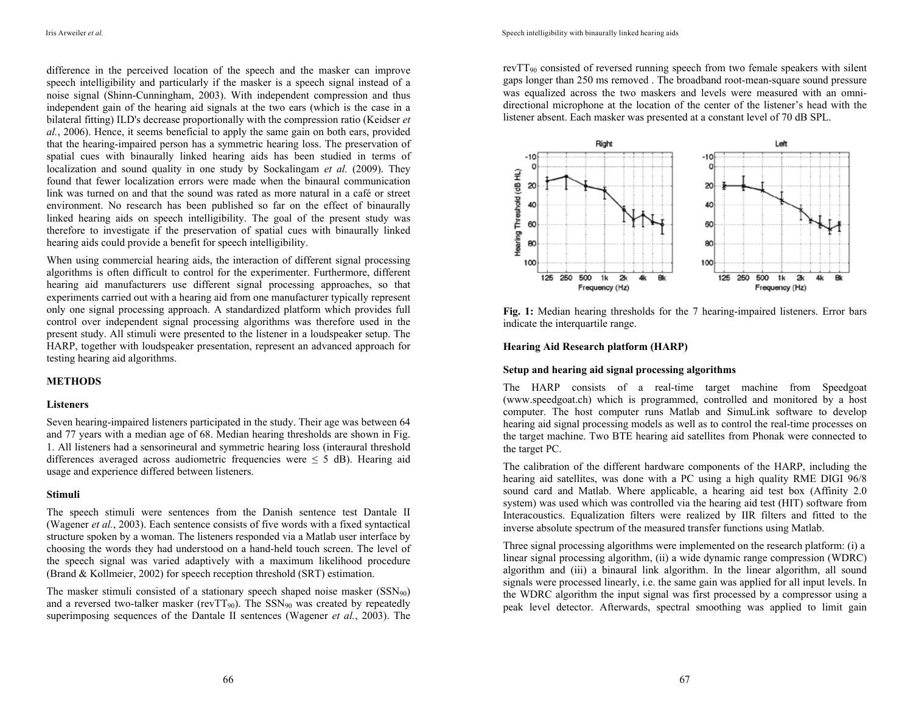difference in the perceived location of the speech and the masker can improve speech intelligibility and particularly if the masker is a speech signal instead of a noise signal (Shinn-Cunningham, 2003). With independent compression and thus independent gain of the hearing aid signals at the two ears (which is the case in a bilateral fitting) ILD's decrease proportionally with the compression ratio (Keidser *et al.*, 2006). Hence, it seems beneficial to apply the same gain on both ears, provided that the hearing-impaired person has a symmetric hearing loss. The preservation of spatial cues with binaurally linked hearing aids has been studied in terms of localization and sound quality in one study by Sockalingam *et al.* (2009). They found that fewer localization errors were made when the binaural communication link was turned on and that the sound was rated as more natural in a café or street environment. No research has been published so far on the effect of binaurally linked hearing aids on speech intelligibility. The goal of the present study was therefore to investigate if the preservation of spatial cues with binaurally linked hearing aids could provide a benefit for speech intelligibility.

When using commercial hearing aids, the interaction of different signal processing algorithms is often difficult to control for the experimenter. Furthermore, different hearing aid manufacturers use different signal processing approaches, so that experiments carried out with a hearing aid from one manufacturer typically represent only one signal processing approach. A standardized platform which provides full control over independent signal processing algorithms was therefore used in the present study. All stimuli were presented to the listener in a loudspeaker setup. The HARP, together with loudspeaker presentation, represent an advanced approach for testing hearing aid algorithms.

## **METHODS**

#### **Listeners**

Seven hearing-impaired listeners participated in the study. Their age was between 64 and 77 years with a median age of 68. Median hearing thresholds are shown in Fig. 1. All listeners had a sensorineural and symmetric hearing loss (interaural threshold differences averaged across audiometric frequencies were  $\leq$  5 dB). Hearing aid usage and experience differed between listeners.

#### **Stimuli**

The speech stimuli were sentences from the Danish sentence test Dantale II (Wagener *et al.*, 2003). Each sentence consists of five words with a fixed syntactical structure spoken by a woman. The listeners responded via a Matlab user interface by choosing the words they had understood on a hand-held touch screen. The level of the speech signal was varied adaptively with a maximum likelihood procedure (Brand & Kollmeier, 2002) for speech reception threshold (SRT) estimation.

The masker stimuli consisted of a stationary speech shaped noise masker  $(SSN_{90})$ and a reversed two-talker masker (revTT<sub>90</sub>). The SSN<sub>90</sub> was created by repeatedly superimposing sequences of the Dantale II sentences (Wagener *et al.*, 2003). The rev $TT_{90}$  consisted of reversed running speech from two female speakers with silent gaps longer than 250 ms removed . The broadband root-mean-square sound pressure was equalized across the two maskers and levels were measured with an omnidirectional microphone at the location of the center of the listener's head with the listener absent. Each masker was presented at a constant level of 70 dB SPL.



**Fig. 1:** Median hearing thresholds for the 7 hearing-impaired listeners. Error bars indicate the interquartile range.

## **Hearing Aid Research platform (HARP)**

#### **Setup and hearing aid signal processing algorithms**

The HARP consists of a real-time target machine from Speedgoat (www.speedgoat.ch) which is programmed, controlled and monitored by a host computer. The host computer runs Matlab and SimuLink software to develop hearing aid signal processing models as well as to control the real-time processes on the target machine. Two BTE hearing aid satellites from Phonak were connected to the target PC.

The calibration of the different hardware components of the HARP, including the hearing aid satellites, was done with a PC using a high quality RME DIGI 96/8 sound card and Matlab. Where applicable, a hearing aid test box (Affinity 2.0 system) was used which was controlled via the hearing aid test (HIT) software from Interacoustics. Equalization filters were realized by IIR filters and fitted to the inverse absolute spectrum of the measured transfer functions using Matlab.

Three signal processing algorithms were implemented on the research platform: (i) a linear signal processing algorithm, (ii) a wide dynamic range compression (WDRC) algorithm and (iii) a binaural link algorithm. In the linear algorithm, all sound signals were processed linearly, i.e. the same gain was applied for all input levels. In the WDRC algorithm the input signal was first processed by a compressor using a peak level detector. Afterwards, spectral smoothing was applied to limit gain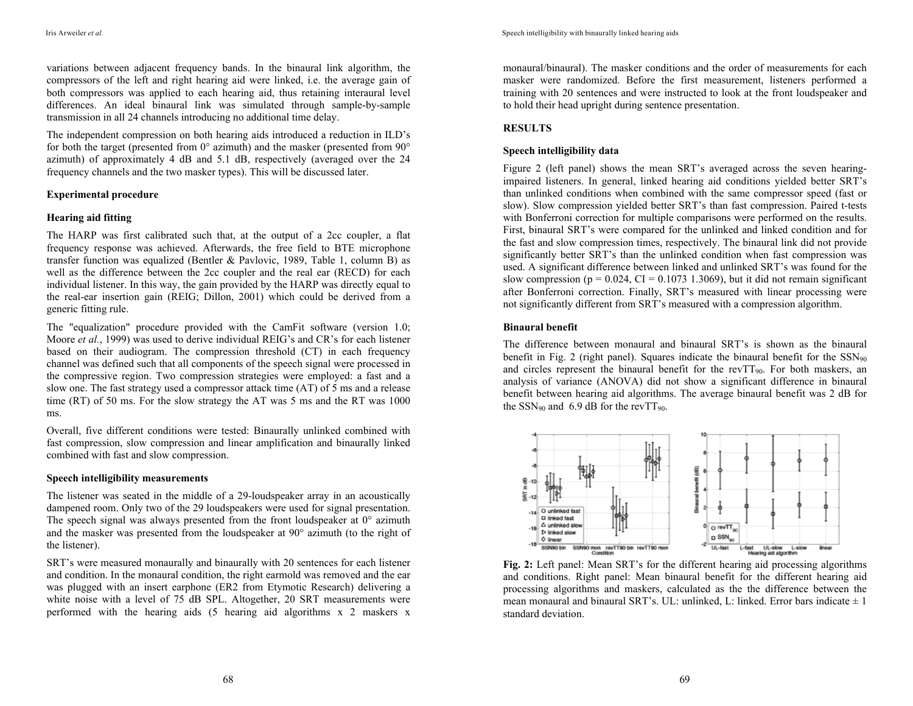variations between adjacent frequency bands. In the binaural link algorithm, the compressors of the left and right hearing aid were linked, i.e. the average gain of both compressors was applied to each hearing aid, thus retaining interaural level differences. An ideal binaural link was simulated through sample-by-sample transmission in all 24 channels introducing no additional time delay.

The independent compression on both hearing aids introduced a reduction in ILD's for both the target (presented from  $0^{\circ}$  azimuth) and the masker (presented from  $90^{\circ}$ azimuth) of approximately 4 dB and 5.1 dB, respectively (averaged over the 24 frequency channels and the two masker types). This will be discussed later.

### **Experimental procedure**

### **Hearing aid fitting**

The HARP was first calibrated such that, at the output of a 2cc coupler, a flat frequency response was achieved. Afterwards, the free field to BTE microphone transfer function was equalized (Bentler & Pavlovic, 1989, Table 1, column B) as well as the difference between the 2cc coupler and the real ear (RECD) for each individual listener. In this way, the gain provided by the HARP was directly equal to the real-ear insertion gain (REIG; Dillon, 2001) which could be derived from a generic fitting rule.

The "equalization" procedure provided with the CamFit software (version 1.0; Moore *et al.*, 1999) was used to derive individual REIG's and CR's for each listener based on their audiogram. The compression threshold (CT) in each frequency channel was defined such that all components of the speech signal were processed in the compressive region. Two compression strategies were employed: a fast and a slow one. The fast strategy used a compressor attack time (AT) of 5 ms and a release time (RT) of 50 ms. For the slow strategy the AT was 5 ms and the RT was 1000 ms.

Overall, five different conditions were tested: Binaurally unlinked combined with fast compression, slow compression and linear amplification and binaurally linked combined with fast and slow compression.

#### **Speech intelligibility measurements**

The listener was seated in the middle of a 29-loudspeaker array in an acoustically dampened room. Only two of the 29 loudspeakers were used for signal presentation. The speech signal was always presented from the front loudspeaker at  $0^{\circ}$  azimuth and the masker was presented from the loudspeaker at 90° azimuth (to the right of the listener).

SRT's were measured monaurally and binaurally with 20 sentences for each listener and condition. In the monaural condition, the right earmold was removed and the ear was plugged with an insert earphone (ER2 from Etymotic Research) delivering a white noise with a level of 75 dB SPL. Altogether, 20 SRT measurements were performed with the hearing aids (5 hearing aid algorithms x 2 maskers x

monaural/binaural). The masker conditions and the order of measurements for each masker were randomized. Before the first measurement, listeners performed a training with 20 sentences and were instructed to look at the front loudspeaker and to hold their head upright during sentence presentation.

## **RESULTS**

## **Speech intelligibility data**

Figure 2 (left panel) shows the mean SRT's averaged across the seven hearingimpaired listeners. In general, linked hearing aid conditions yielded better SRT's than unlinked conditions when combined with the same compressor speed (fast or slow). Slow compression yielded better SRT's than fast compression. Paired t-tests with Bonferroni correction for multiple comparisons were performed on the results. First, binaural SRT's were compared for the unlinked and linked condition and for the fast and slow compression times, respectively. The binaural link did not provide significantly better SRT's than the unlinked condition when fast compression was used. A significant difference between linked and unlinked SRT's was found for the slow compression ( $p = 0.024$ , CI = 0.1073 1.3069), but it did not remain significant after Bonferroni correction. Finally, SRT's measured with linear processing were not significantly different from SRT's measured with a compression algorithm.

## **Binaural benefit**

The difference between monaural and binaural SRT's is shown as the binaural benefit in Fig. 2 (right panel). Squares indicate the binaural benefit for the  $SSN_{90}$ and circles represent the binaural benefit for the rev $TT_{90}$ . For both maskers, an analysis of variance (ANOVA) did not show a significant difference in binaural benefit between hearing aid algorithms. The average binaural benefit was 2 dB for the SSN<sub>90</sub> and 6.9 dB for the revTT<sub>90</sub>.



**Fig. 2:** Left panel: Mean SRT's for the different hearing aid processing algorithms and conditions. Right panel: Mean binaural benefit for the different hearing aid processing algorithms and maskers, calculated as the the difference between the mean monaural and binaural SRT's. UL: unlinked, L: linked. Error bars indicate  $\pm 1$ standard deviation.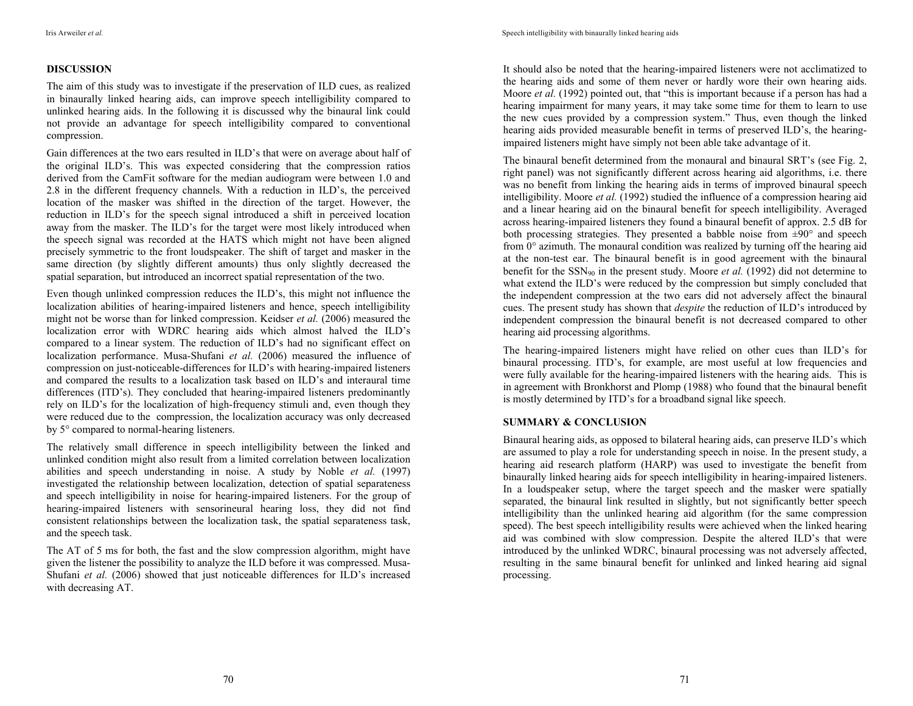## **DISCUSSION**

The aim of this study was to investigate if the preservation of ILD cues, as realized in binaurally linked hearing aids, can improve speech intelligibility compared to unlinked hearing aids. In the following it is discussed why the binaural link could not provide an advantage for speech intelligibility compared to conventional compression.

Gain differences at the two ears resulted in ILD's that were on average about half of the original ILD's. This was expected considering that the compression ratios derived from the CamFit software for the median audiogram were between 1.0 and 2.8 in the different frequency channels. With a reduction in ILD's, the perceived location of the masker was shifted in the direction of the target. However, the reduction in ILD's for the speech signal introduced a shift in perceived location away from the masker. The ILD's for the target were most likely introduced when the speech signal was recorded at the HATS which might not have been aligned precisely symmetric to the front loudspeaker. The shift of target and masker in the same direction (by slightly different amounts) thus only slightly decreased the spatial separation, but introduced an incorrect spatial representation of the two.

Even though unlinked compression reduces the ILD's, this might not influence the localization abilities of hearing-impaired listeners and hence, speech intelligibility might not be worse than for linked compression. Keidser *et al.* (2006) measured the localization error with WDRC hearing aids which almost halved the ILD's compared to a linear system. The reduction of ILD's had no significant effect on localization performance. Musa-Shufani *et al.* (2006) measured the influence of compression on just-noticeable-differences for ILD's with hearing-impaired listeners and compared the results to a localization task based on ILD's and interaural time differences (ITD's). They concluded that hearing-impaired listeners predominantly rely on ILD's for the localization of high-frequency stimuli and, even though they were reduced due to the compression, the localization accuracy was only decreased by 5° compared to normal-hearing listeners.

The relatively small difference in speech intelligibility between the linked and unlinked condition might also result from a limited correlation between localization abilities and speech understanding in noise. A study by Noble *et al.* (1997) investigated the relationship between localization, detection of spatial separateness and speech intelligibility in noise for hearing-impaired listeners. For the group of hearing-impaired listeners with sensorineural hearing loss, they did not find consistent relationships between the localization task, the spatial separateness task, and the speech task.

The AT of 5 ms for both, the fast and the slow compression algorithm, might have given the listener the possibility to analyze the ILD before it was compressed. Musa-Shufani *et al.* (2006) showed that just noticeable differences for ILD's increased with decreasing AT.

It should also be noted that the hearing-impaired listeners were not acclimatized to the hearing aids and some of them never or hardly wore their own hearing aids. Moore *et al.* (1992) pointed out, that "this is important because if a person has had a hearing impairment for many years, it may take some time for them to learn to use the new cues provided by a compression system." Thus, even though the linked hearing aids provided measurable benefit in terms of preserved ILD's, the hearingimpaired listeners might have simply not been able take advantage of it.

The binaural benefit determined from the monaural and binaural SRT's (see Fig. 2, right panel) was not significantly different across hearing aid algorithms, i.e. there was no benefit from linking the hearing aids in terms of improved binaural speech intelligibility. Moore *et al.* (1992) studied the influence of a compression hearing aid and a linear hearing aid on the binaural benefit for speech intelligibility. Averaged across hearing-impaired listeners they found a binaural benefit of approx. 2.5 dB for both processing strategies. They presented a babble noise from  $\pm 90^\circ$  and speech from 0° azimuth. The monaural condition was realized by turning off the hearing aid at the non-test ear. The binaural benefit is in good agreement with the binaural benefit for the SSN90 in the present study. Moore *et al.* (1992) did not determine to what extend the ILD's were reduced by the compression but simply concluded that the independent compression at the two ears did not adversely affect the binaural cues. The present study has shown that *despite* the reduction of ILD's introduced by independent compression the binaural benefit is not decreased compared to other hearing aid processing algorithms.

The hearing-impaired listeners might have relied on other cues than ILD's for binaural processing. ITD's, for example, are most useful at low frequencies and were fully available for the hearing-impaired listeners with the hearing aids. This is in agreement with Bronkhorst and Plomp (1988) who found that the binaural benefit is mostly determined by ITD's for a broadband signal like speech.

## **SUMMARY & CONCLUSION**

Binaural hearing aids, as opposed to bilateral hearing aids, can preserve ILD's which are assumed to play a role for understanding speech in noise. In the present study, a hearing aid research platform (HARP) was used to investigate the benefit from binaurally linked hearing aids for speech intelligibility in hearing-impaired listeners. In a loudspeaker setup, where the target speech and the masker were spatially separated, the binaural link resulted in slightly, but not significantly better speech intelligibility than the unlinked hearing aid algorithm (for the same compression speed). The best speech intelligibility results were achieved when the linked hearing aid was combined with slow compression. Despite the altered ILD's that were introduced by the unlinked WDRC, binaural processing was not adversely affected, resulting in the same binaural benefit for unlinked and linked hearing aid signal processing.